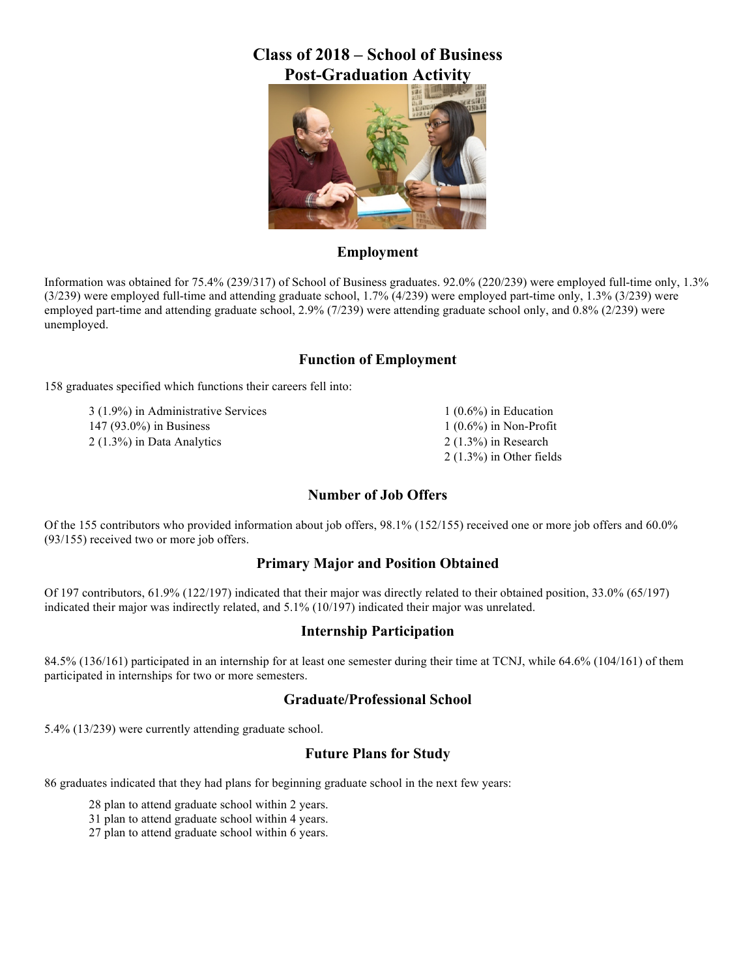## **Class of 2018 – School of Business Post-Graduation Activity**



## **Employment**

Information was obtained for 75.4% (239/317) of School of Business graduates. 92.0% (220/239) were employed full-time only, 1.3% (3/239) were employed full-time and attending graduate school, 1.7% (4/239) were employed part-time only, 1.3% (3/239) were employed part-time and attending graduate school, 2.9% (7/239) were attending graduate school only, and 0.8% (2/239) were unemployed.

## **Function of Employment**

158 graduates specified which functions their careers fell into:

3 (1.9%) in Administrative Services 147 (93.0%) in Business 2 (1.3%) in Data Analytics

1 (0.6%) in Education 1 (0.6%) in Non-Profit 2 (1.3%) in Research 2 (1.3%) in Other fields

## **Number of Job Offers**

Of the 155 contributors who provided information about job offers, 98.1% (152/155) received one or more job offers and 60.0% (93/155) received two or more job offers.

## **Primary Major and Position Obtained**

Of 197 contributors, 61.9% (122/197) indicated that their major was directly related to their obtained position, 33.0% (65/197) indicated their major was indirectly related, and 5.1% (10/197) indicated their major was unrelated.

### **Internship Participation**

84.5% (136/161) participated in an internship for at least one semester during their time at TCNJ, while 64.6% (104/161) of them participated in internships for two or more semesters.

### **Graduate/Professional School**

5.4% (13/239) were currently attending graduate school.

## **Future Plans for Study**

86 graduates indicated that they had plans for beginning graduate school in the next few years:

28 plan to attend graduate school within 2 years.

31 plan to attend graduate school within 4 years.

27 plan to attend graduate school within 6 years.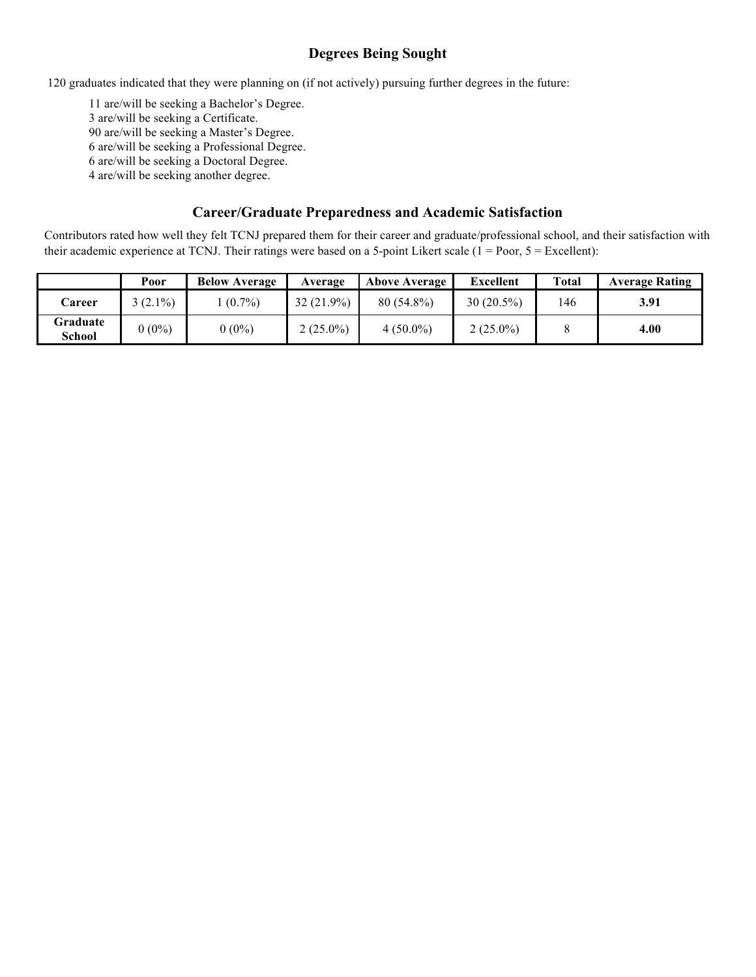## **Degrees Being Sought**

120 graduates indicated that they were planning on (if not actively) pursuing further degrees in the future:

 are/will be seeking a Bachelor's Degree. are/will be seeking a Certificate. are/will be seeking a Master's Degree. are/will be seeking a Professional Degree. are/will be seeking a Doctoral Degree. 4 are/will be seeking another degree.

## **Career/Graduate Preparedness and Academic Satisfaction**

Contributors rated how well they felt TCNJ prepared them for their career and graduate/professional school, and their satisfaction with their academic experience at TCNJ. Their ratings were based on a 5-point Likert scale  $(1 = Poor, 5 = Execllen)$ :

|                    | Poor      | <b>Below Average</b> | Average      | <b>Above Average</b> | <b>Excellent</b> | <b>Total</b> | <b>Average Rating</b> |
|--------------------|-----------|----------------------|--------------|----------------------|------------------|--------------|-----------------------|
| Career             | $(2.1\%)$ | $(0.7\%)$            | $32(21.9\%)$ | $80(54.8\%)$         | $30(20.5\%)$     | 146          | 3.91                  |
| Graduate<br>School | $0(0\%)$  | $0(0\%)$             | $2(25.0\%)$  | $4(50.0\%)$          | $2(25.0\%)$      |              | 4.00                  |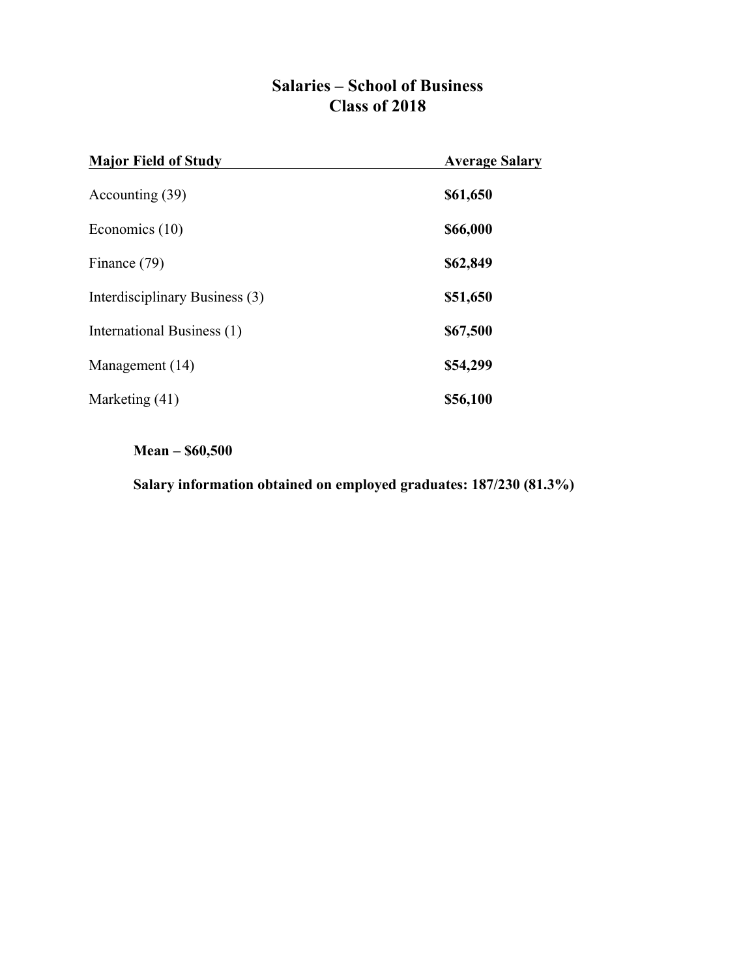## **Salaries – School of Business Class of 2018**

| <b>Major Field of Study</b>    | <b>Average Salary</b> |
|--------------------------------|-----------------------|
| Accounting (39)                | \$61,650              |
| Economics $(10)$               | \$66,000              |
| Finance (79)                   | \$62,849              |
| Interdisciplinary Business (3) | \$51,650              |
| International Business (1)     | \$67,500              |
| Management (14)                | \$54,299              |
| Marketing (41)                 | \$56,100              |

## **Mean – \$60,500**

**Salary information obtained on employed graduates: 187/230 (81.3%)**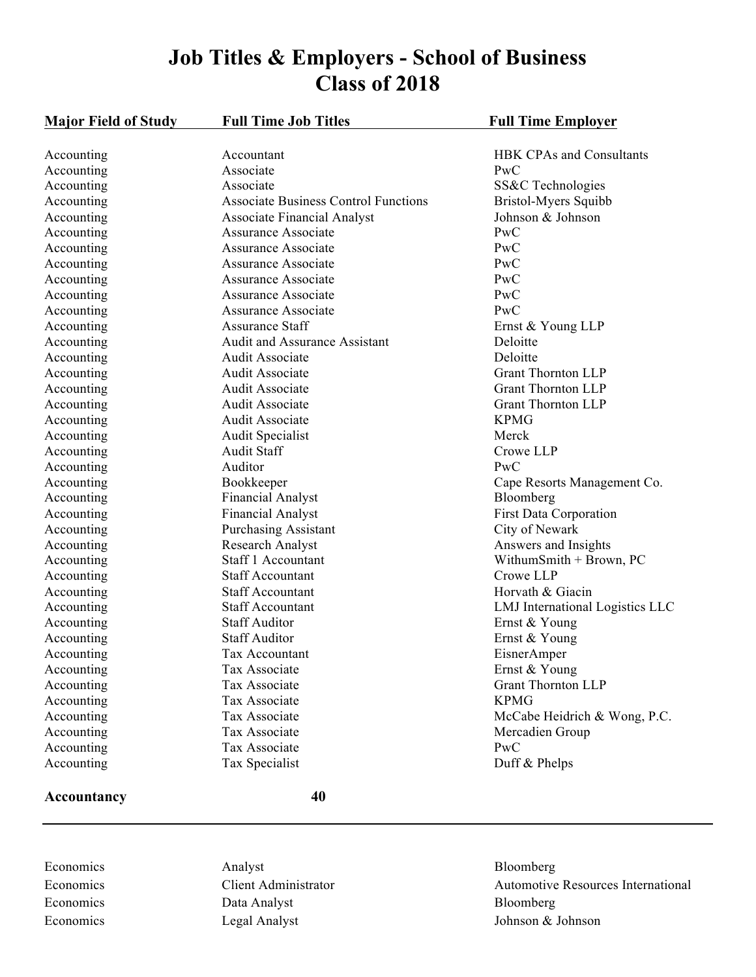# **Job Titles & Employers - School of Business Class of 2018**

| <b>Major Field of Study</b> | <b>Full Time Job Titles</b>                 | <b>Full Time Employer</b>       |
|-----------------------------|---------------------------------------------|---------------------------------|
| Accounting                  | Accountant                                  | <b>HBK CPAs and Consultants</b> |
| Accounting                  | Associate                                   | PwC                             |
| Accounting                  | Associate                                   | SS&C Technologies               |
| Accounting                  | <b>Associate Business Control Functions</b> | Bristol-Myers Squibb            |
| Accounting                  | <b>Associate Financial Analyst</b>          | Johnson & Johnson               |
| Accounting                  | Assurance Associate                         | <b>PwC</b>                      |
| Accounting                  | <b>Assurance Associate</b>                  | PwC                             |
| Accounting                  | <b>Assurance Associate</b>                  | PwC                             |
| Accounting                  | <b>Assurance Associate</b>                  | PwC                             |
| Accounting                  | <b>Assurance Associate</b>                  | PwC                             |
| Accounting                  | <b>Assurance Associate</b>                  | PwC                             |
| Accounting                  | <b>Assurance Staff</b>                      | Ernst & Young LLP               |
| Accounting                  | Audit and Assurance Assistant               | Deloitte                        |
| Accounting                  | Audit Associate                             | Deloitte                        |
| Accounting                  | Audit Associate                             | <b>Grant Thornton LLP</b>       |
| Accounting                  | <b>Audit Associate</b>                      | <b>Grant Thornton LLP</b>       |
| Accounting                  | <b>Audit Associate</b>                      | <b>Grant Thornton LLP</b>       |
| Accounting                  | Audit Associate                             | <b>KPMG</b>                     |
| Accounting                  | <b>Audit Specialist</b>                     | Merck                           |
| Accounting                  | <b>Audit Staff</b>                          | Crowe LLP                       |
| Accounting                  | Auditor                                     | PwC                             |
| Accounting                  | Bookkeeper                                  | Cape Resorts Management Co.     |
| Accounting                  | <b>Financial Analyst</b>                    | Bloomberg                       |
| Accounting                  | Financial Analyst                           | <b>First Data Corporation</b>   |
| Accounting                  | <b>Purchasing Assistant</b>                 | City of Newark                  |
| Accounting                  | <b>Research Analyst</b>                     | Answers and Insights            |
| Accounting                  | Staff 1 Accountant                          | WithumSmith $+$ Brown, PC       |
| Accounting                  | <b>Staff Accountant</b>                     | Crowe LLP                       |
| Accounting                  | <b>Staff Accountant</b>                     | Horvath & Giacin                |
| Accounting                  | <b>Staff Accountant</b>                     | LMJ International Logistics LLC |
| Accounting                  | <b>Staff Auditor</b>                        | Ernst & Young                   |
| Accounting                  | <b>Staff Auditor</b>                        | Ernst & Young                   |
| Accounting                  | Tax Accountant                              | EisnerAmper                     |
| Accounting                  | Tax Associate                               | Ernst & Young                   |
| Accounting                  | Tax Associate                               | <b>Grant Thornton LLP</b>       |
| Accounting                  | Tax Associate                               | <b>KPMG</b>                     |
| Accounting                  | Tax Associate                               | McCabe Heidrich & Wong, P.C.    |
| Accounting                  | Tax Associate                               | Mercadien Group                 |
| Accounting                  | Tax Associate                               | PwC                             |
| Accounting                  | Tax Specialist                              | Duff & Phelps                   |

## **Accountancy 40**

Economics Analyst Analyst Bloomberg Economics Data Analyst Bloomberg Bloomberg Economics Legal Analyst Legal Analyst Johnson & Johnson

Economics Client Administrator Automotive Resources International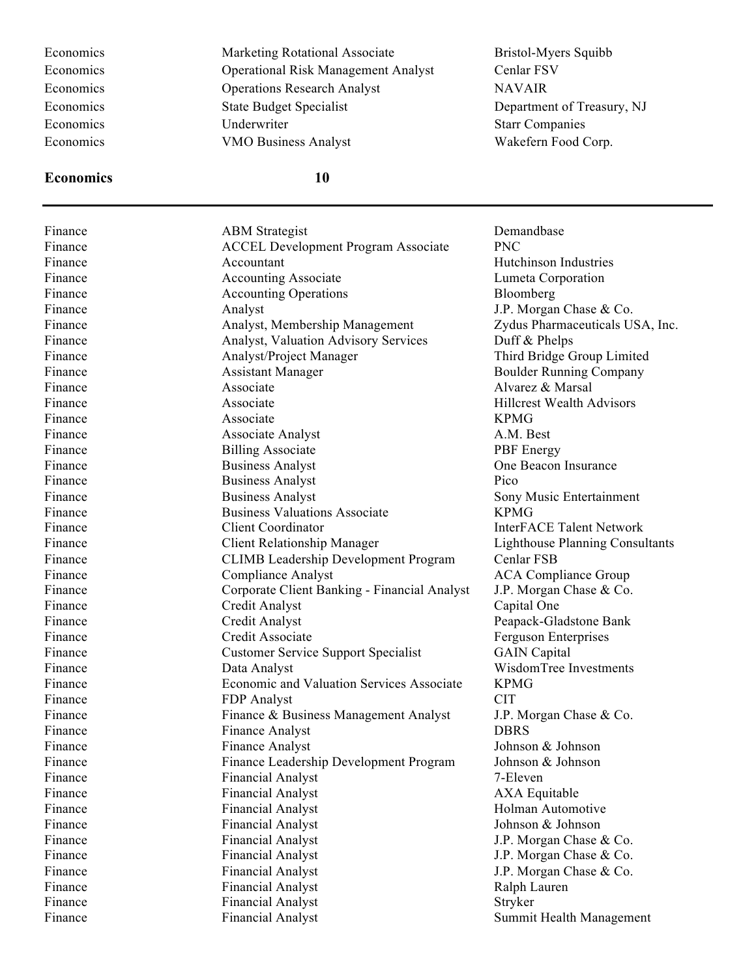#### **Economics 10**

Economics Marketing Rotational Associate Bristol-Myers Squibb Economics Operational Risk Management Analyst Cenlar FSV Economics Operations Research Analyst NAVAIR Economics State Budget Specialist State Budget Specialist Department of Treasury, NJ Economics Underwriter Starr Companies Economics VMO Business Analyst Wakefern Food Corp.

Finance ABM Strategist Demandbase Finance **ACCEL Development Program Associate** PNC Finance **Accountant** Accountant **Hutchinson Industries** Finance **Accounting Associate** Accounting Associate **Lumeta** Corporation Finance Accounting Operations Bloomberg Finance **Analyst** Analyst J.P. Morgan Chase & Co. Finance **Analyst, Membership Management** Zydus Pharmaceuticals USA, Inc. Finance **Analyst, Valuation Advisory Services** Duff & Phelps Finance **Analyst**/Project Manager Third Bridge Group Limited Finance **Assistant Manager** Assistant Manager Boulder Running Company Finance **Associate** Associate Alvarez & Marsal Finance **Associate** Associate **Hillcrest Wealth Advisors** Finance KPMG Finance Associate Analyst A.M. Best Finance Billing Associate PBF Energy Finance **Business Analyst Business Analyst One Beacon Insurance One Beacon Insurance** Finance Business Analyst Pico Finance Business Analyst Sony Music Entertainment Finance **Business Valuations Associate** KPMG Finance Client Coordinator **InterFACE Talent Network** Finance Client Relationship Manager Lighthouse Planning Consultants Finance CLIMB Leadership Development Program Cenlar FSB Finance **Solution Compliance Analyst** Compliance Analyst **ACA Compliance Group** Finance Corporate Client Banking - Financial Analyst J.P. Morgan Chase & Co. Finance Credit Analyst Capital One Finance Credit Analyst Peapack-Gladstone Bank Finance Credit Associate Ferguson Enterprises Finance Customer Service Support Specialist GAIN Capital Finance **State Data Analyst Construction** Construction Construction Construction Construction Construction Construction Construction Construction Construction Construction Construction Construction Construction Constructio Finance Economic and Valuation Services Associate KPMG Finance **FDP** Analyst CIT Finance Finance & Business Management Analyst J.P. Morgan Chase & Co. Finance **Finance Analyst Example 2** Finance Analyst **DBRS** Finance **Finance Analyst** Johnson & Johnson Finance Finance Leadership Development Program Johnson & Johnson Finance Financial Analyst 7-Eleven Finance **Financial Analyst Financial Analyst AXA Equitable** Finance Financial Analyst Financial Analyst Holman Automotive Finance Financial Analyst Johnson & Johnson Burnson & Johnson & Johnson & Johnson & Johnson & Johnson & Johnson & Johnson & Johnson & Johnson & Johnson & Johnson & Johnson & Johnson & Johnson & Johnson & Johnson & Johnson Finance Financial Analyst J.P. Morgan Chase & Co. Finance Financial Analyst J.P. Morgan Chase & Co. Finance Financial Analyst J.P. Morgan Chase & Co. Finance Financial Analyst Ralph Lauren Finance **Financial Analyst** Stryker Finance **Financial Analyst Financial Analyst** Summit Health Management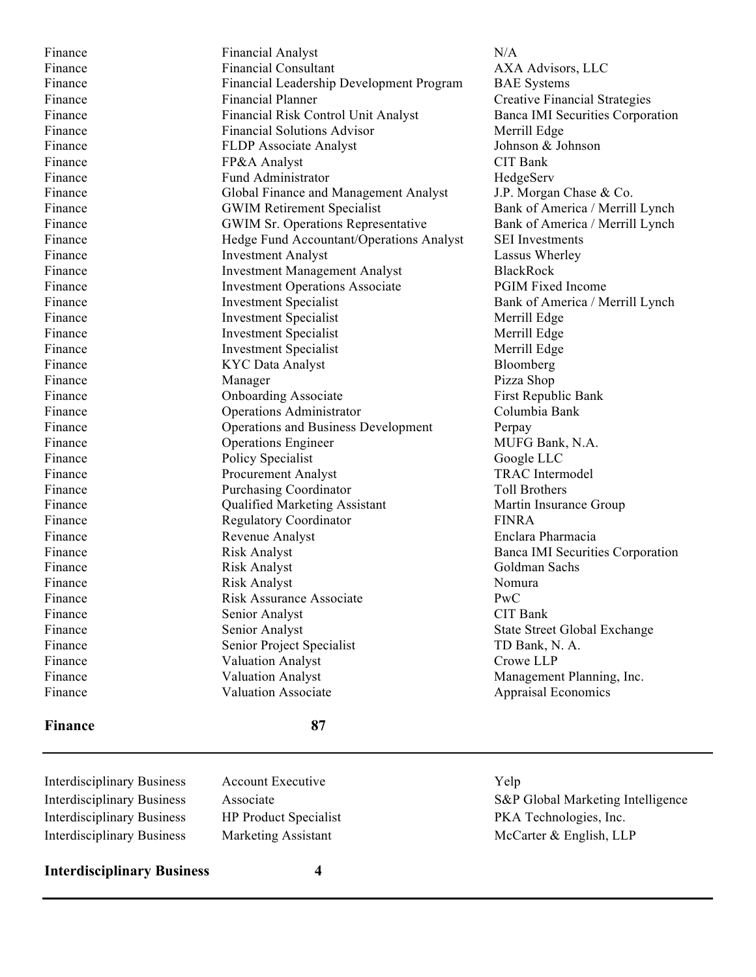Finance **Financial Analyst Financial Analyst N/A** Finance **Financial Consultant Financial Consultant AXA Advisors, LLC** Finance Financial Leadership Development Program BAE Systems Finance Financial Planner Creative Financial Strategies Finance Financial Risk Control Unit Analyst Banca IMI Securities Corporation Finance Financial Solutions Advisor Merrill Edge Finance **FLDP** Associate Analyst Johnson & Johnson Finance **FP&A Analyst** CIT Bank Finance Fund Administrator Fund Fund Fund Administrator Finance HedgeServ Finance Global Finance and Management Analyst J.P. Morgan Chase & Co. Finance **GWIM Retirement Specialist** Bank of America / Merrill Lynch Finance GWIM Sr. Operations Representative Bank of America / Merrill Lynch Finance Hedge Fund Accountant/Operations Analyst SEI Investments Finance **Investment Analyst** Lassus Wherley Finance Investment Management Analyst BlackRock Finance The Investment Operations Associate PGIM Fixed Income Finance Investment Specialist Bank of America / Merrill Lynch Finance Investment Specialist Merrill Edge Finance **Investment Specialist** Merrill Edge Finance Investment Specialist Merrill Edge Finance **KYC** Data Analyst Bloomberg Finance Manager Manager Pizza Shop Finance **State Conformation** Conboarding Associate First Republic Bank Finance Operations Administrator Columbia Bank Finance **State Operations and Business Development** Perpay Finance **State Operations Engineer** MUFG Bank, N.A. Finance Policy Specialist Google LLC Finance Procurement Analyst TRAC Intermodel Finance **Purchasing Coordinator Purchasing Coordinator** Toll Brothers Finance **Solution** Cualified Marketing Assistant Martin Insurance Group Finance Regulatory Coordinator **FINRA** Finance Revenue Analyst Enclara Pharmacia Finance Risk Analyst Banca IMI Securities Corporation Finance Risk Analyst Goldman Sachs Finance Risk Analyst Risk Analyst Nomura Finance **Risk Assurance Associate** PwC Finance Senior Analyst CIT Bank Finance Senior Analyst State Street Global Exchange Finance Senior Project Specialist TD Bank, N. A. Finance **Valuation Analyst** Crowe LLP Finance Valuation Analyst Management Planning, Inc. Finance Valuation Associate Appraisal Economics

## **Finance 87**

Interdisciplinary Business Account Executive Yelp Interdisciplinary Business HP Product Specialist PKA Technologies, Inc. Interdisciplinary Business Marketing Assistant McCarter & English, LLP

**Interdisciplinary Business 4**

Interdisciplinary Business Associate S&P Global Marketing Intelligence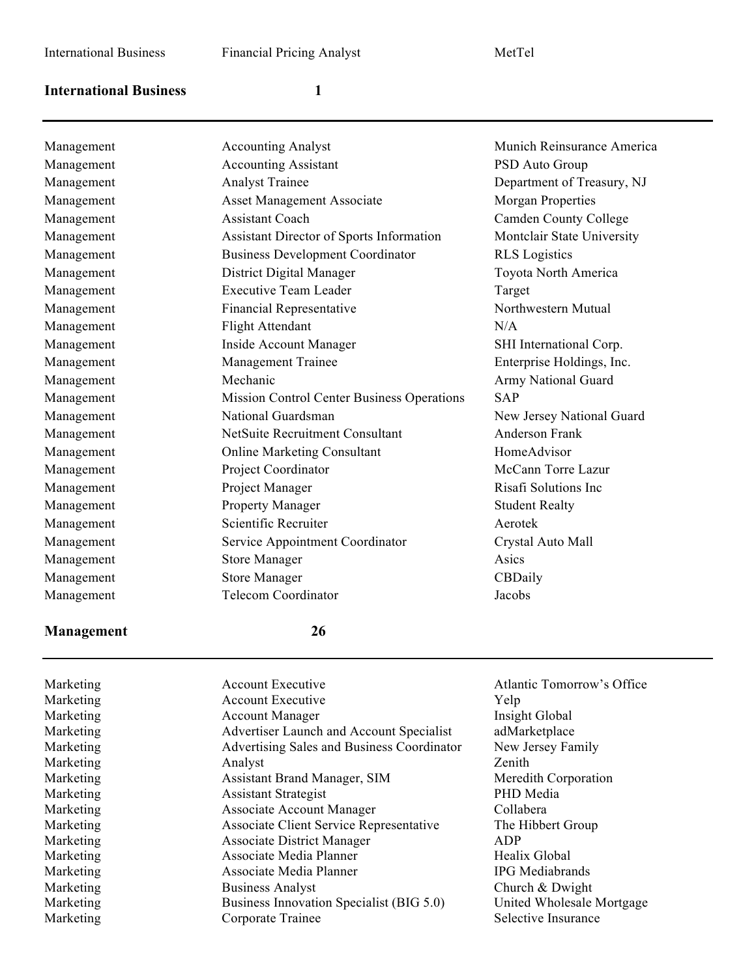## **International Business 1**

| Management |
|------------|
| Management |
| Management |
| Management |
| Management |
| Management |
| Management |
| Management |
| Management |
| Management |
| Management |
| Management |
| Management |
| Management |
| Management |
| Management |
| Management |
| Management |
| Management |
| Management |
| Management |
| Management |
| Management |
| Management |
| Management |
| Management |

| Management | <b>Accounting Analyst</b>                  | Munich Reinsurance America   |
|------------|--------------------------------------------|------------------------------|
| Management | <b>Accounting Assistant</b>                | PSD Auto Group               |
| Management | <b>Analyst Trainee</b>                     | Department of Treasury, NJ   |
| Management | <b>Asset Management Associate</b>          | <b>Morgan Properties</b>     |
| Management | <b>Assistant Coach</b>                     | <b>Camden County College</b> |
| Management | Assistant Director of Sports Information   | Montclair State University   |
| Management | <b>Business Development Coordinator</b>    | <b>RLS</b> Logistics         |
| Management | District Digital Manager                   | Toyota North America         |
| Management | <b>Executive Team Leader</b>               | Target                       |
| Management | <b>Financial Representative</b>            | Northwestern Mutual          |
| Management | <b>Flight Attendant</b>                    | N/A                          |
| Management | Inside Account Manager                     | SHI International Corp.      |
| Management | Management Trainee                         | Enterprise Holdings, Inc.    |
| Management | Mechanic                                   | Army National Guard          |
| Management | Mission Control Center Business Operations | <b>SAP</b>                   |
| Management | National Guardsman                         | New Jersey National Guard    |
| Management | <b>NetSuite Recruitment Consultant</b>     | <b>Anderson Frank</b>        |
| Management | <b>Online Marketing Consultant</b>         | HomeAdvisor                  |
| Management | Project Coordinator                        | McCann Torre Lazur           |
| Management | Project Manager                            | Risafi Solutions Inc         |
| Management | Property Manager                           | <b>Student Realty</b>        |
| Management | Scientific Recruiter                       | Aerotek                      |
| Management | Service Appointment Coordinator            | Crystal Auto Mall            |
| Management | <b>Store Manager</b>                       | Asics                        |
| Management | <b>Store Manager</b>                       | CBDaily                      |
| Management | <b>Telecom Coordinator</b>                 | Jacobs                       |
|            |                                            |                              |

## **Management 26**

Marketing Account Executive Atlantic Tomorrow's Office Marketing  $\alpha$  Account Executive  $\alpha$  Yelp Marketing **Account Manager** Insight Global Marketing Marketing Advertiser Launch and Account Specialist adMarketplace Marketing Marketing Advertising Sales and Business Coordinator New Jersey Family Marketing Analyst Analyst Zenith Marketing Assistant Brand Manager, SIM Meredith Corporation Marketing Assistant Strategist PHD Media Marketing **Associate Account Manager** Collabera Marketing Associate Client Service Representative The Hibbert Group Marketing Associate District Manager ADP Marketing **Associate Media Planner** Healix Global Healix Global Marketing Associate Media Planner IPG Mediabrands Marketing Business Analyst Church & Dwight Marketing Business Innovation Specialist (BIG 5.0) United Wholesale Mortgage Marketing Corporate Trainee Selective Insurance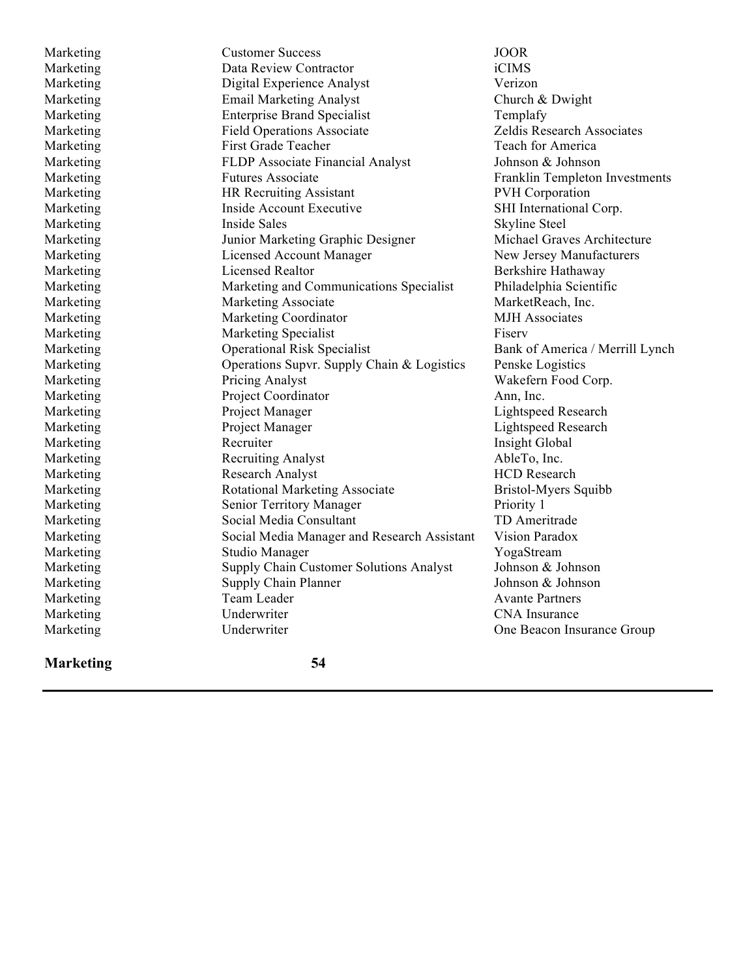Marketing Customer Success JOOR Marketing Data Review Contractor iCIMS Marketing Digital Experience Analyst Verizon Marketing Email Marketing Analyst Church & Dwight Marketing Enterprise Brand Specialist Templafy Marketing Field Operations Associate Zeldis Research Associates Marketing First Grade Teacher Teach Teach for America Marketing FLDP Associate Financial Analyst Johnson & Johnson Marketing Futures Associate Franklin Templeton Investments Marketing **HR Recruiting Assistant** PVH Corporation Marketing This Inside Account Executive SHI International Corp. Marketing Inside Sales Skyline Steel Marketing Junior Marketing Graphic Designer Michael Graves Architecture Marketing Licensed Account Manager New Jersey Manufacturers Marketing Licensed Realtor Berkshire Hathaway Marketing Marketing and Communications Specialist Philadelphia Scientific Marketing Marketing Associate Market MarketReach, Inc. Marketing Marketing Coordinator MJH Associates Marketing Marketing Specialist Fiserv Marketing Cherational Risk Specialist Bank of America / Merrill Lynch Marketing **Operations Supvr. Supply Chain & Logistics** Penske Logistics Marketing Pricing Analyst Wakefern Food Corp. Marketing Project Coordinator Ann, Inc. Marketing Project Manager Lightspeed Research Marketing Project Manager Exercise Research Lightspeed Research Marketing Recruiter Recruiter Insight Global Marketing Recruiting Analyst AbleTo, Inc. Marketing Research Analyst Research Analyst Research Research Analyst Research Research Marketing **Rotational Marketing Associate** Bristol-Myers Squibb Marketing Senior Territory Manager Priority 1 Marketing Social Media Consultant TD Ameritrade Marketing Social Media Manager and Research Assistant Vision Paradox Marketing Studio Manager YogaStream Marketing Supply Chain Customer Solutions Analyst Johnson & Johnson Marketing Supply Chain Planner Johnson & Johnson Supply Chain Planner Marketing Team Leader Avante Partners<br>
Marketing Underwriter CNA Insurance Marketing Underwriter CNA Insurance

Marketing Underwriter One Beacon Insurance Group

## **Marketing 54**